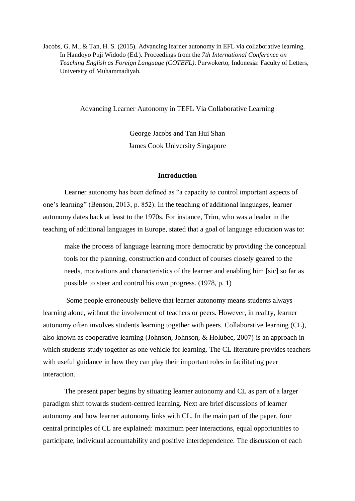Jacobs, G. M., & Tan, H. S. (2015). Advancing learner autonomy in EFL via collaborative learning. In Handoyo Puji Widodo (Ed.). Proceedings from the *7th International Conference on Teaching English as Foreign Language (COTEFL)*. Purwokerto, Indonesia: Faculty of Letters, University of Muhammadiyah.

Advancing Learner Autonomy in TEFL Via Collaborative Learning

George Jacobs and Tan Hui Shan James Cook University Singapore

### **Introduction**

Learner autonomy has been defined as "a capacity to control important aspects of one's learning" (Benson, 2013, p. 852). In the teaching of additional languages, learner autonomy dates back at least to the 1970s. For instance, Trim, who was a leader in the teaching of additional languages in Europe, stated that a goal of language education was to:

make the process of language learning more democratic by providing the conceptual tools for the planning, construction and conduct of courses closely geared to the needs, motivations and characteristics of the learner and enabling him [sic] so far as possible to steer and control his own progress. (1978, p. 1)

Some people erroneously believe that learner autonomy means students always learning alone, without the involvement of teachers or peers. However, in reality, learner autonomy often involves students learning together with peers. Collaborative learning (CL), also known as cooperative learning (Johnson, Johnson, & Holubec, 2007) is an approach in which students study together as one vehicle for learning. The CL literature provides teachers with useful guidance in how they can play their important roles in facilitating peer interaction.

The present paper begins by situating learner autonomy and CL as part of a larger paradigm shift towards student-centred learning. Next are brief discussions of learner autonomy and how learner autonomy links with CL. In the main part of the paper, four central principles of CL are explained: maximum peer interactions, equal opportunities to participate, individual accountability and positive interdependence. The discussion of each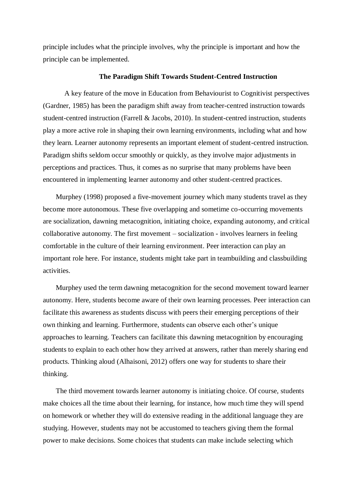principle includes what the principle involves, why the principle is important and how the principle can be implemented.

### **The Paradigm Shift Towards Student-Centred Instruction**

A key feature of the move in Education from Behaviourist to Cognitivist perspectives (Gardner, 1985) has been the paradigm shift away from teacher-centred instruction towards student-centred instruction (Farrell & Jacobs, 2010). In student-centred instruction, students play a more active role in shaping their own learning environments, including what and how they learn. Learner autonomy represents an important element of student-centred instruction. Paradigm shifts seldom occur smoothly or quickly, as they involve major adjustments in perceptions and practices. Thus, it comes as no surprise that many problems have been encountered in implementing learner autonomy and other student-centred practices.

Murphey (1998) proposed a five-movement journey which many students travel as they become more autonomous. These five overlapping and sometime co-occurring movements are socialization, dawning metacognition, initiating choice, expanding autonomy, and critical collaborative autonomy. The first movement – socialization - involves learners in feeling comfortable in the culture of their learning environment. Peer interaction can play an important role here. For instance, students might take part in teambuilding and classbuilding activities.

Murphey used the term dawning metacognition for the second movement toward learner autonomy. Here, students become aware of their own learning processes. Peer interaction can facilitate this awareness as students discuss with peers their emerging perceptions of their own thinking and learning. Furthermore, students can observe each other's unique approaches to learning. Teachers can facilitate this dawning metacognition by encouraging students to explain to each other how they arrived at answers, rather than merely sharing end products. Thinking aloud (Alhaisoni, 2012) offers one way for students to share their thinking.

The third movement towards learner autonomy is initiating choice. Of course, students make choices all the time about their learning, for instance, how much time they will spend on homework or whether they will do extensive reading in the additional language they are studying. However, students may not be accustomed to teachers giving them the formal power to make decisions. Some choices that students can make include selecting which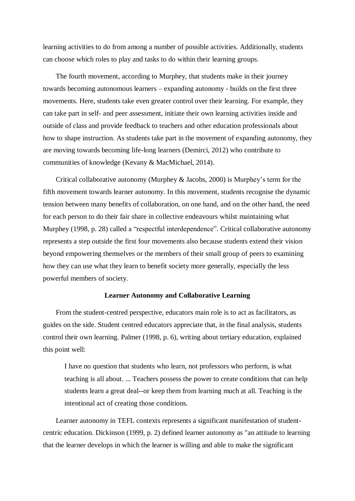learning activities to do from among a number of possible activities. Additionally, students can choose which roles to play and tasks to do within their learning groups.

The fourth movement, according to Murphey, that students make in their journey towards becoming autonomous learners – expanding autonomy - builds on the first three movements. Here, students take even greater control over their learning. For example, they can take part in self- and peer assessment, initiate their own learning activities inside and outside of class and provide feedback to teachers and other education professionals about how to shape instruction. As students take part in the movement of expanding autonomy, they are moving towards becoming life-long learners (Demirci, 2012) who contribute to communities of knowledge (Kevany & MacMichael, 2014).

Critical collaborative autonomy (Murphey & Jacobs, 2000) is Murphey's term for the fifth movement towards learner autonomy. In this movement, students recognise the dynamic tension between many benefits of collaboration, on one hand, and on the other hand, the need for each person to do their fair share in collective endeavours whilst maintaining what Murphey (1998, p. 28) called a "respectful interdependence". Critical collaborative autonomy represents a step outside the first four movements also because students extend their vision beyond empowering themselves or the members of their small group of peers to examining how they can use what they learn to benefit society more generally, especially the less powerful members of society.

# **Learner Autonomy and Collaborative Learning**

From the student-centred perspective, educators main role is to act as facilitators, as guides on the side. Student centred educators appreciate that, in the final analysis, students control their own learning. Palmer (1998, p. 6), writing about tertiary education, explained this point well:

I have no question that students who learn, not professors who perform, is what teaching is all about. ... Teachers possess the power to create conditions that can help students learn a great deal--or keep them from learning much at all. Teaching is the intentional act of creating those conditions.

Learner autonomy in TEFL contexts represents a significant manifestation of studentcentric education. Dickinson (1999, p. 2) defined learner autonomy as "an attitude to learning that the learner develops in which the learner is willing and able to make the significant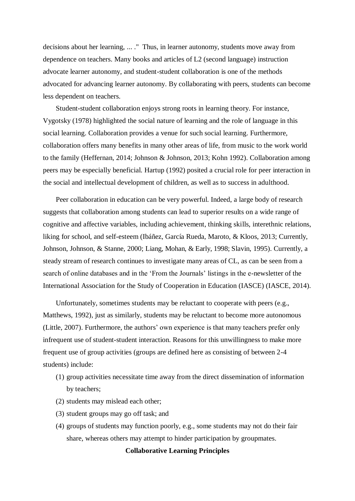decisions about her learning, ... ." Thus, in learner autonomy, students move away from dependence on teachers. Many books and articles of L2 (second language) instruction advocate learner autonomy, and student-student collaboration is one of the methods advocated for advancing learner autonomy. By collaborating with peers, students can become less dependent on teachers.

Student-student collaboration enjoys strong roots in learning theory. For instance, Vygotsky (1978) highlighted the social nature of learning and the role of language in this social learning. Collaboration provides a venue for such social learning. Furthermore, collaboration offers many benefits in many other areas of life, from music to the work world to the family (Heffernan, 2014; Johnson & Johnson, 2013; Kohn 1992). Collaboration among peers may be especially beneficial. Hartup (1992) posited a crucial role for peer interaction in the social and intellectual development of children, as well as to success in adulthood.

Peer collaboration in education can be very powerful. Indeed, a large body of research suggests that collaboration among students can lead to superior results on a wide range of cognitive and affective variables, including achievement, thinking skills, interethnic relations, liking for school, and self-esteem (Ibáñez, García Rueda, Maroto, & Kloos, 2013; Currently, Johnson, Johnson, & Stanne, 2000; Liang, Mohan, & Early, 1998; Slavin, 1995). Currently, a steady stream of research continues to investigate many areas of CL, as can be seen from a search of online databases and in the 'From the Journals' listings in the e-newsletter of the International Association for the Study of Cooperation in Education (IASCE) (IASCE, 2014).

Unfortunately, sometimes students may be reluctant to cooperate with peers (e.g., Matthews, 1992), just as similarly, students may be reluctant to become more autonomous (Little, 2007). Furthermore, the authors' own experience is that many teachers prefer only infrequent use of student-student interaction. Reasons for this unwillingness to make more frequent use of group activities (groups are defined here as consisting of between 2-4 students) include:

- (1) group activities necessitate time away from the direct dissemination of information by teachers;
- (2) students may mislead each other;
- (3) student groups may go off task; and
- (4) groups of students may function poorly, e.g., some students may not do their fair share, whereas others may attempt to hinder participation by groupmates.

# **Collaborative Learning Principles**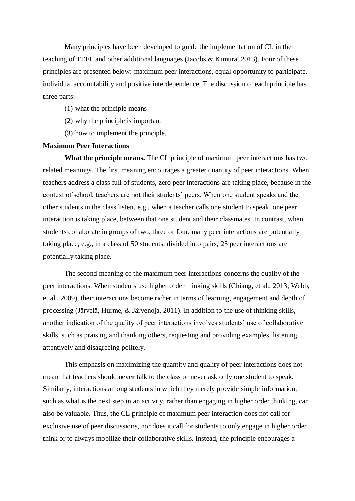Many principles have been developed to guide the implementation of CL in the teaching of TEFL and other additional languages (Jacobs & Kimura, 2013). Four of these principles are presented below: maximum peer interactions, equal opportunity to participate, individual accountability and positive interdependence. The discussion of each principle has three parts:

- (1) what the principle means
- (2) why the principle is important
- (3) how to implement the principle.

# **Maximum Peer Interactions**

**What the principle means.** The CL principle of maximum peer interactions has two related meanings. The first meaning encourages a greater quantity of peer interactions. When teachers address a class full of students, zero peer interactions are taking place, because in the context of school, teachers are not their students' peers. When one student speaks and the other students in the class listen, e.g., when a teacher calls one student to speak, one peer interaction is taking place, between that one student and their classmates. In contrast, when students collaborate in groups of two, three or four, many peer interactions are potentially taking place, e.g., in a class of 50 students, divided into pairs, 25 peer interactions are potentially taking place.

The second meaning of the maximum peer interactions concerns the quality of the peer interactions. When students use higher order thinking skills (Chiang, et al., 2013; Webb, et al., 2009), their interactions become richer in terms of learning, engagement and depth of processing (Järvelä, Hurme, & Järvenoja, 2011). In addition to the use of thinking skills, another indication of the quality of peer interactions involves students' use of collaborative skills, such as praising and thanking others, requesting and providing examples, listening attentively and disagreeing politely.

This emphasis on maximizing the quantity and quality of peer interactions does not mean that teachers should never talk to the class or never ask only one student to speak. Similarly, interactions among students in which they merely provide simple information, such as what is the next step in an activity, rather than engaging in higher order thinking, can also be valuable. Thus, the CL principle of maximum peer interaction does not call for exclusive use of peer discussions, nor does it call for students to only engage in higher order think or to always mobilize their collaborative skills. Instead, the principle encourages a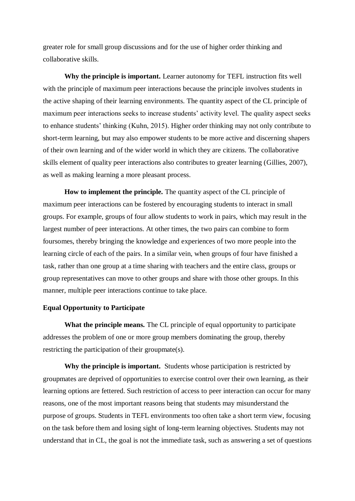greater role for small group discussions and for the use of higher order thinking and collaborative skills.

**Why the principle is important.** Learner autonomy for TEFL instruction fits well with the principle of maximum peer interactions because the principle involves students in the active shaping of their learning environments. The quantity aspect of the CL principle of maximum peer interactions seeks to increase students' activity level. The quality aspect seeks to enhance students' thinking (Kuhn, 2015). Higher order thinking may not only contribute to short-term learning, but may also empower students to be more active and discerning shapers of their own learning and of the wider world in which they are citizens. The collaborative skills element of quality peer interactions also contributes to greater learning (Gillies, 2007), as well as making learning a more pleasant process.

**How to implement the principle.** The quantity aspect of the CL principle of maximum peer interactions can be fostered by encouraging students to interact in small groups. For example, groups of four allow students to work in pairs, which may result in the largest number of peer interactions. At other times, the two pairs can combine to form foursomes, thereby bringing the knowledge and experiences of two more people into the learning circle of each of the pairs. In a similar vein, when groups of four have finished a task, rather than one group at a time sharing with teachers and the entire class, groups or group representatives can move to other groups and share with those other groups. In this manner, multiple peer interactions continue to take place.

## **Equal Opportunity to Participate**

**What the principle means.** The CL principle of equal opportunity to participate addresses the problem of one or more group members dominating the group, thereby restricting the participation of their groupmate(s).

**Why the principle is important.** Students whose participation is restricted by groupmates are deprived of opportunities to exercise control over their own learning, as their learning options are fettered. Such restriction of access to peer interaction can occur for many reasons, one of the most important reasons being that students may misunderstand the purpose of groups. Students in TEFL environments too often take a short term view, focusing on the task before them and losing sight of long-term learning objectives. Students may not understand that in CL, the goal is not the immediate task, such as answering a set of questions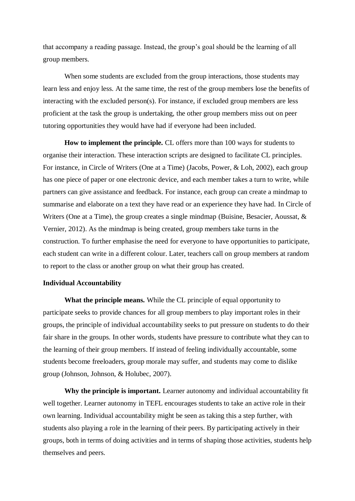that accompany a reading passage. Instead, the group's goal should be the learning of all group members.

When some students are excluded from the group interactions, those students may learn less and enjoy less. At the same time, the rest of the group members lose the benefits of interacting with the excluded person(s). For instance, if excluded group members are less proficient at the task the group is undertaking, the other group members miss out on peer tutoring opportunities they would have had if everyone had been included.

**How to implement the principle.** CL offers more than 100 ways for students to organise their interaction. These interaction scripts are designed to facilitate CL principles. For instance, in Circle of Writers (One at a Time) (Jacobs, Power, & Loh, 2002), each group has one piece of paper or one electronic device, and each member takes a turn to write, while partners can give assistance and feedback. For instance, each group can create a mindmap to summarise and elaborate on a text they have read or an experience they have had. In Circle of Writers (One at a Time), the group creates a single mindmap (Buisine, Besacier, Aoussat, & Vernier, 2012). As the mindmap is being created, group members take turns in the construction. To further emphasise the need for everyone to have opportunities to participate, each student can write in a different colour. Later, teachers call on group members at random to report to the class or another group on what their group has created.

# **Individual Accountability**

**What the principle means.** While the CL principle of equal opportunity to participate seeks to provide chances for all group members to play important roles in their groups, the principle of individual accountability seeks to put pressure on students to do their fair share in the groups. In other words, students have pressure to contribute what they can to the learning of their group members. If instead of feeling individually accountable, some students become freeloaders, group morale may suffer, and students may come to dislike group (Johnson, Johnson, & Holubec, 2007).

**Why the principle is important.** Learner autonomy and individual accountability fit well together. Learner autonomy in TEFL encourages students to take an active role in their own learning. Individual accountability might be seen as taking this a step further, with students also playing a role in the learning of their peers. By participating actively in their groups, both in terms of doing activities and in terms of shaping those activities, students help themselves and peers.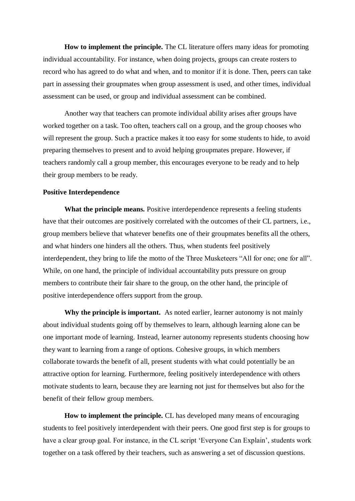**How to implement the principle.** The CL literature offers many ideas for promoting individual accountability. For instance, when doing projects, groups can create rosters to record who has agreed to do what and when, and to monitor if it is done. Then, peers can take part in assessing their groupmates when group assessment is used, and other times, individual assessment can be used, or group and individual assessment can be combined.

Another way that teachers can promote individual ability arises after groups have worked together on a task. Too often, teachers call on a group, and the group chooses who will represent the group. Such a practice makes it too easy for some students to hide, to avoid preparing themselves to present and to avoid helping groupmates prepare. However, if teachers randomly call a group member, this encourages everyone to be ready and to help their group members to be ready.

## **Positive Interdependence**

**What the principle means.** Positive interdependence represents a feeling students have that their outcomes are positively correlated with the outcomes of their CL partners, i.e., group members believe that whatever benefits one of their groupmates benefits all the others, and what hinders one hinders all the others. Thus, when students feel positively interdependent, they bring to life the motto of the Three Musketeers "All for one; one for all". While, on one hand, the principle of individual accountability puts pressure on group members to contribute their fair share to the group, on the other hand, the principle of positive interdependence offers support from the group.

**Why the principle is important.** As noted earlier, learner autonomy is not mainly about individual students going off by themselves to learn, although learning alone can be one important mode of learning. Instead, learner autonomy represents students choosing how they want to learning from a range of options. Cohesive groups, in which members collaborate towards the benefit of all, present students with what could potentially be an attractive option for learning. Furthermore, feeling positively interdependence with others motivate students to learn, because they are learning not just for themselves but also for the benefit of their fellow group members.

**How to implement the principle.** CL has developed many means of encouraging students to feel positively interdependent with their peers. One good first step is for groups to have a clear group goal. For instance, in the CL script 'Everyone Can Explain', students work together on a task offered by their teachers, such as answering a set of discussion questions.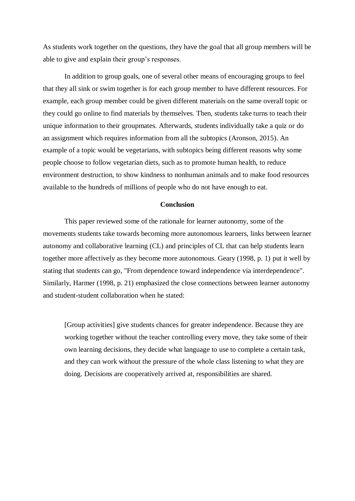As students work together on the questions, they have the goal that all group members will be able to give and explain their group's responses.

In addition to group goals, one of several other means of encouraging groups to feel that they all sink or swim together is for each group member to have different resources. For example, each group member could be given different materials on the same overall topic or they could go online to find materials by themselves. Then, students take turns to teach their unique information to their groupmates. Afterwards, students individually take a quiz or do an assignment which requires information from all the subtopics (Aronson, 2015). An example of a topic would be vegetarians, with subtopics being different reasons why some people choose to follow vegetarian diets, such as to promote human health, to reduce environment destruction, to show kindness to nonhuman animals and to make food resources available to the hundreds of millions of people who do not have enough to eat.

## **Conclusion**

This paper reviewed some of the rationale for learner autonomy, some of the movements students take towards becoming more autonomous learners, links between learner autonomy and collaborative learning (CL) and principles of CL that can help students learn together more affectively as they become more autonomous. Geary (1998, p. 1) put it well by stating that students can go, "From dependence toward independence via interdependence". Similarly, Harmer (1998, p. 21) emphasized the close connections between learner autonomy and student-student collaboration when he stated:

[Group activities] give students chances for greater independence. Because they are working together without the teacher controlling every move, they take some of their own learning decisions, they decide what language to use to complete a certain task, and they can work without the pressure of the whole class listening to what they are doing. Decisions are cooperatively arrived at, responsibilities are shared.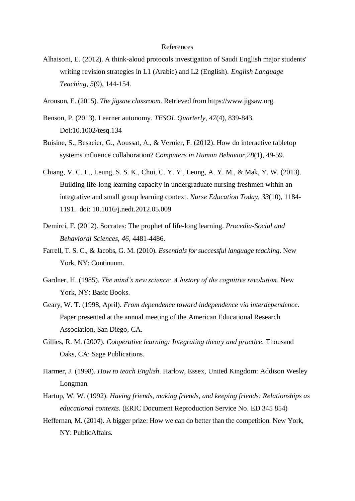#### References

- Alhaisoni, E. (2012). A think-aloud protocols investigation of Saudi English major students' writing revision strategies in L1 (Arabic) and L2 (English). *English Language Teaching, 5*(9), 144-154.
- Aronson, E. (2015). *The jigsaw classroom*. Retrieved from [https://www.jigsaw.org.](https://www.jigsaw.org/)
- Benson, P. (2013). Learner autonomy. *TESOL Quarterly*, *47*(4), 839-843. Doi:10.1002/tesq.134
- Buisine, S., Besacier, G., Aoussat, A., & Vernier, F. (2012). How do interactive tabletop systems influence collaboration? *Computers in Human Behavior*,*28*(1), 49-59.
- Chiang, V. C. L., Leung, S. S. K., Chui, C. Y. Y., Leung, A. Y. M., & Mak, Y. W. (2013). Building life-long learning capacity in undergraduate nursing freshmen within an integrative and small group learning context. *Nurse Education Today, 33*(10), 1184- 1191. doi: 10.1016/j.nedt.2012.05.009
- Demirci, F. (2012). Socrates: The prophet of life-long learning. *Procedia-Social and Behavioral Sciences*, *46*, 4481-4486.
- Farrell, T. S. C., & Jacobs, G. M. (2010). *Essentials for successful language teaching*. New York, NY: Continuum.
- Gardner, H. (1985). *The mind's new science: A history of the cognitive revolution.* New York, NY: Basic Books.
- Geary, W. T. (1998, April). *From dependence toward independence via interdependence*. Paper presented at the annual meeting of the American Educational Research Association, San Diego, CA.
- Gillies, R. M. (2007). *Cooperative learning: Integrating theory and practice*. Thousand Oaks, CA: Sage Publications.
- Harmer, J. (1998). *How to teach English*. Harlow, Essex, United Kingdom: Addison Wesley Longman.
- Hartup, W. W. (1992). *Having friends, making friends, and keeping friends: Relationships as educational contexts*. (ERIC Document Reproduction Service No. ED 345 854)
- Heffernan, M. (2014). A bigger prize: How we can do better than the competition. New York, NY: PublicAffairs.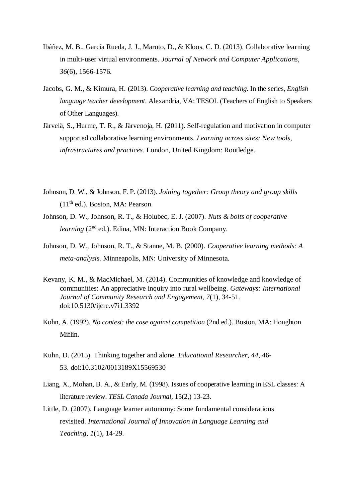- Ibáñez, M. B., García Rueda, J. J., Maroto, D., & Kloos, C. D. (2013). Collaborative learning in multi-user virtual environments. *Journal of Network and Computer Applications*, *36*(6), 1566-1576.
- Jacobs, G. M., & Kimura, H. (2013). *Cooperative learning and teaching*. In the series, *English language teacher development*. Alexandria, VA: TESOL (Teachers of English to Speakers of Other Languages).
- Järvelä, S., Hurme, T. R., & Järvenoja, H. (2011). Self-regulation and motivation in computer supported collaborative learning environments. *Learning across sites: New tools, infrastructures and practices.* London, United Kingdom: Routledge.
- Johnson, D. W., & Johnson, F. P. (2013). *Joining together: Group theory and group skills* (11th ed.)*.* Boston, MA: Pearson.
- Johnson, D. W., Johnson, R. T., & Holubec, E. J. (2007). *Nuts & bolts of cooperative learning* (2<sup>nd</sup> ed.). Edina, MN: Interaction Book Company.
- Johnson, D. W., Johnson, R. T., & Stanne, M. B. (2000). *Cooperative learning methods: A meta-analysis.* Minneapolis, MN: University of Minnesota.
- Kevany, K. M., & MacMichael, M. (2014). Communities of knowledge and knowledge of communities: An appreciative inquiry into rural wellbeing. *Gateways: International Journal of Community Research and Engagement, 7*(1), 34-51. doi:10.5130/ijcre.v7i1.3392
- Kohn, A. (1992). *No contest: the case against competition* (2nd ed.). Boston, MA: Houghton Miflin.
- Kuhn, D. (2015). Thinking together and alone. *Educational Researcher, 44*, 46- 53. doi:10.3102/0013189X15569530
- Liang, X., Mohan, B. A., & Early, M. (1998). Issues of cooperative learning in ESL classes: A literature review. *TESL Canada Journal,* 15(2,) 13-23.
- Little, D. (2007). Language learner autonomy: Some fundamental considerations revisited. *International Journal of Innovation in Language Learning and Teaching*, *1*(1), 14-29.